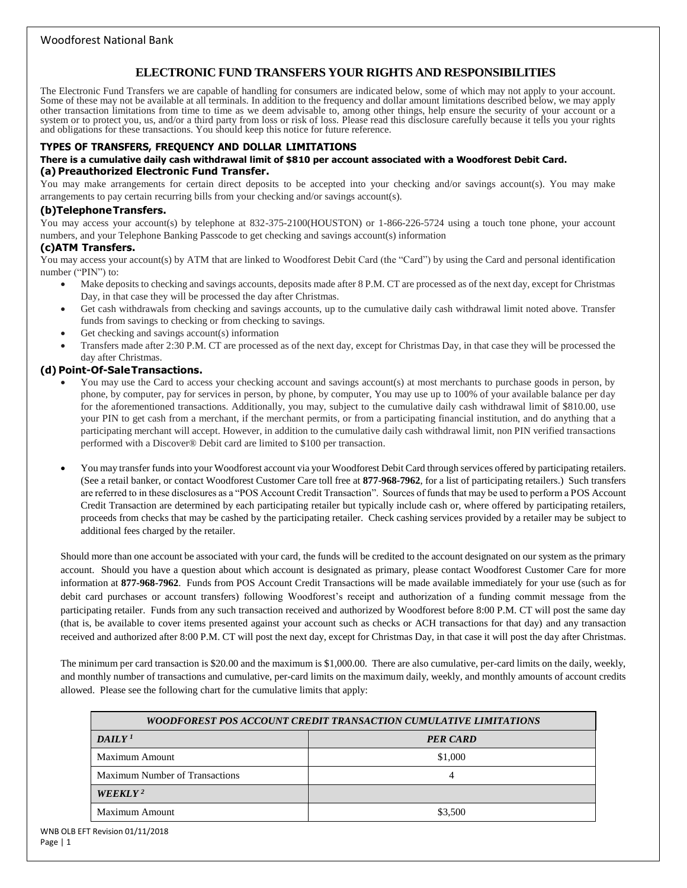# **ELECTRONIC FUND TRANSFERS YOUR RIGHTS AND RESPONSIBILITIES**

The Electronic Fund Transfers we are capable of handling for consumers are indicated below, some of which may not apply to your account. Some of these may not be available at all terminals. In addition to the frequency and dollar amount limitations described below, we may apply other transaction limitations from time to time as we deem advisable to, among other things, help ensure the security of your account or a system or to protect you, us, and/or a third party from loss or risk of loss. Please read this disclosure carefully because it tells you your rights and obligations for these transactions. You should keep this notice for future reference.

#### **TYPES OF TRANSFERS, FREQUENCY AND DOLLAR LIMITATIONS**

#### **There is a cumulative daily cash withdrawal limit of \$810 per account associated with a Woodforest Debit Card. (a) Preauthorized Electronic Fund Transfer.**

You may make arrangements for certain direct deposits to be accepted into your checking and/or savings account(s). You may make arrangements to pay certain recurring bills from your checking and/or savings account(s).

#### **(b)TelephoneTransfers.**

You may access your account(s) by telephone at 832-375-2100(HOUSTON) or 1-866-226-5724 using a touch tone phone, your account numbers, and your Telephone Banking Passcode to get checking and savings account(s) information

#### **(c)ATM Transfers.**

You may access your account(s) by ATM that are linked to Woodforest Debit Card (the "Card") by using the Card and personal identification number ("PIN") to:

- Make deposits to checking and savings accounts, deposits made after 8 P.M. CT are processed as of the next day, except for Christmas Day, in that case they will be processed the day after Christmas.
- Get cash withdrawals from checking and savings accounts, up to the cumulative daily cash withdrawal limit noted above. Transfer funds from savings to checking or from checking to savings.
- Get checking and savings account(s) information
- Transfers made after 2:30 P.M. CT are processed as of the next day, except for Christmas Day, in that case they will be processed the day after Christmas.

#### **(d) Point-Of-SaleTransactions.**

- You may use the Card to access your checking account and savings account(s) at most merchants to purchase goods in person, by phone, by computer, pay for services in person, by phone, by computer, You may use up to 100% of your available balance per day for the aforementioned transactions. Additionally, you may, subject to the cumulative daily cash withdrawal limit of \$810.00, use your PIN to get cash from a merchant, if the merchant permits, or from a participating financial institution, and do anything that a participating merchant will accept. However, in addition to the cumulative daily cash withdrawal limit, non PIN verified transactions performed with a Discover® Debit card are limited to \$100 per transaction.
- You may transfer funds into your Woodforest account via your Woodforest Debit Card through services offered by participating retailers. (See a retail banker, or contact Woodforest Customer Care toll free at **877-968-7962**, for a list of participating retailers.) Such transfers are referred to in these disclosures as a "POS Account Credit Transaction". Sources of funds that may be used to perform a POS Account Credit Transaction are determined by each participating retailer but typically include cash or, where offered by participating retailers, proceeds from checks that may be cashed by the participating retailer. Check cashing services provided by a retailer may be subject to additional fees charged by the retailer.

Should more than one account be associated with your card, the funds will be credited to the account designated on our system as the primary account. Should you have a question about which account is designated as primary, please contact Woodforest Customer Care for more information at **877-968-7962**. Funds from POS Account Credit Transactions will be made available immediately for your use (such as for debit card purchases or account transfers) following Woodforest's receipt and authorization of a funding commit message from the participating retailer. Funds from any such transaction received and authorized by Woodforest before 8:00 P.M. CT will post the same day (that is, be available to cover items presented against your account such as checks or ACH transactions for that day) and any transaction received and authorized after 8:00 P.M. CT will post the next day, except for Christmas Day, in that case it will post the day after Christmas.

The minimum per card transaction is \$20.00 and the maximum is \$1,000.00. There are also cumulative, per-card limits on the daily, weekly, and monthly number of transactions and cumulative, per-card limits on the maximum daily, weekly, and monthly amounts of account credits allowed. Please see the following chart for the cumulative limits that apply:

| WOODFOREST POS ACCOUNT CREDIT TRANSACTION CUMULATIVE LIMITATIONS |                 |
|------------------------------------------------------------------|-----------------|
| DAILY <sup>1</sup>                                               | <b>PER CARD</b> |
| Maximum Amount                                                   | \$1,000         |
| <b>Maximum Number of Transactions</b>                            | 4               |
| WEEKLY <sup>2</sup>                                              |                 |
| Maximum Amount                                                   | \$3,500         |
|                                                                  |                 |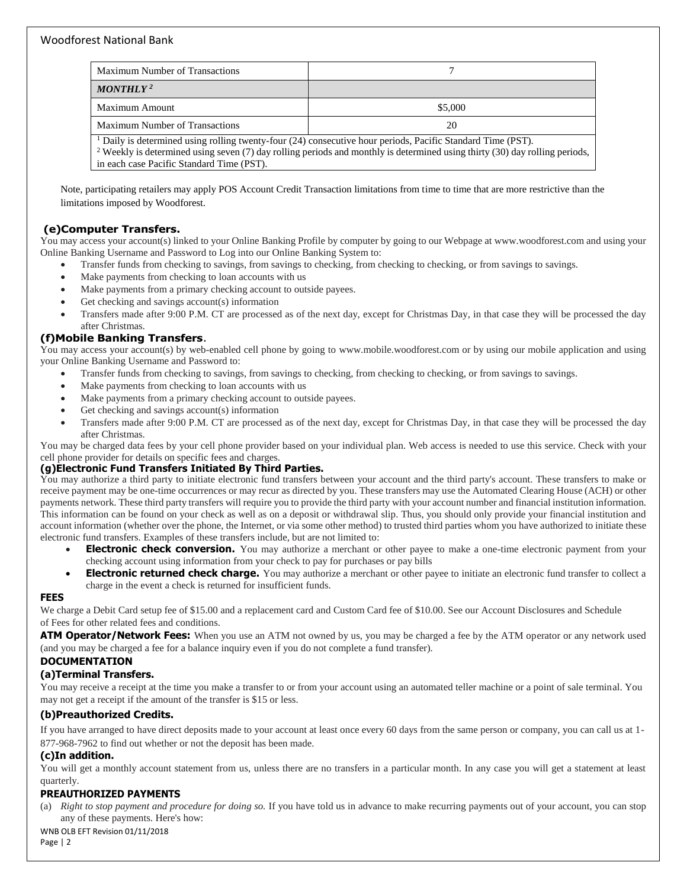| Maximum Number of Transactions                                                                                                                                                                                                                                                                           |         |
|----------------------------------------------------------------------------------------------------------------------------------------------------------------------------------------------------------------------------------------------------------------------------------------------------------|---------|
| MONTHLY <sup>2</sup>                                                                                                                                                                                                                                                                                     |         |
| Maximum Amount                                                                                                                                                                                                                                                                                           | \$5,000 |
| <b>Maximum Number of Transactions</b>                                                                                                                                                                                                                                                                    | 20      |
| $\rm^1$ Daily is determined using rolling twenty-four (24) consecutive hour periods, Pacific Standard Time (PST).<br><sup>2</sup> Weekly is determined using seven (7) day rolling periods and monthly is determined using thirty (30) day rolling periods,<br>in each case Pacific Standard Time (PST). |         |

Note, participating retailers may apply POS Account Credit Transaction limitations from time to time that are more restrictive than the limitations imposed by Woodforest.

# **(e)Computer Transfers.**

You may access your account(s) linked to your Online Banking Profile by computer by going to our Webpage at [www.woodforest.com](http://www.woodforest.com/) and using your Online Banking Username and Password to Log into our Online Banking System to:

- Transfer funds from checking to savings, from savings to checking, from checking to checking, or from savings to savings.
- Make payments from checking to loan accounts with us
- Make payments from a primary checking account to outside payees.
- Get checking and savings account(s) information
- Transfers made after 9:00 P.M. CT are processed as of the next day, except for Christmas Day, in that case they will be processed the day after Christmas.

### **(f)Mobile Banking Transfers**.

You may access your account(s) by web-enabled cell phone by going to [www.mobile.woodforest.com](http://www.mobile.woodforest.com/) or by using our mobile application and using your Online Banking Username and Password to:

- Transfer funds from checking to savings, from savings to checking, from checking to checking, or from savings to savings.
- Make payments from checking to loan accounts with us
- Make payments from a primary checking account to outside payees.
- Get checking and savings account(s) information
- Transfers made after 9:00 P.M. CT are processed as of the next day, except for Christmas Day, in that case they will be processed the day after Christmas.

You may be charged data fees by your cell phone provider based on your individual plan. Web access is needed to use this service. Check with your cell phone provider for details on specific fees and charges.

### **(g)Electronic Fund Transfers Initiated By Third Parties.**

You may authorize a third party to initiate electronic fund transfers between your account and the third party's account. These transfers to make or receive payment may be one-time occurrences or may recur as directed by you. These transfers may use the Automated Clearing House (ACH) or other payments network. These third party transfers will require you to provide the third party with your account number and financial institution information. This information can be found on your check as well as on a deposit or withdrawal slip. Thus, you should only provide your financial institution and account information (whether over the phone, the Internet, or via some other method) to trusted third parties whom you have authorized to initiate these electronic fund transfers. Examples of these transfers include, but are not limited to:

- **Electronic check conversion.** You may authorize a merchant or other payee to make a one-time electronic payment from your checking account using information from your check to pay for purchases or pay bills
- **Electronic returned check charge.** You may authorize a merchant or other payee to initiate an electronic fund transfer to collect a charge in the event a check is returned for insufficient funds.

#### **FEES**

We charge a Debit Card setup fee of \$15.00 and a replacement card and Custom Card fee of \$10.00. See our Account Disclosures and Schedule of Fees for other related fees and conditions.

**ATM Operator/Network Fees:** When you use an ATM not owned by us, you may be charged a fee by the ATM operator or any network used (and you may be charged a fee for a balance inquiry even if you do not complete a fund transfer).

#### **DOCUMENTATION**

### **(a)Terminal Transfers.**

You may receive a receipt at the time you make a transfer to or from your account using an automated teller machine or a point of sale terminal. You may not get a receipt if the amount of the transfer is \$15 or less.

#### **(b)Preauthorized Credits.**

If you have arranged to have direct deposits made to your account at least once every 60 days from the same person or company, you can call us at 1- 877-968-7962 to find out whether or not the deposit has been made.

#### **(c)In addition.**

You will get a monthly account statement from us, unless there are no transfers in a particular month. In any case you will get a statement at least quarterly.

#### **PREAUTHORIZED PAYMENTS**

(a) *Right to stop payment and procedure for doing so.* If you have told us in advance to make recurring payments out of your account, you can stop any of these payments. Here's how:

WNB OLB EFT Revision 01/11/2018

Page | 2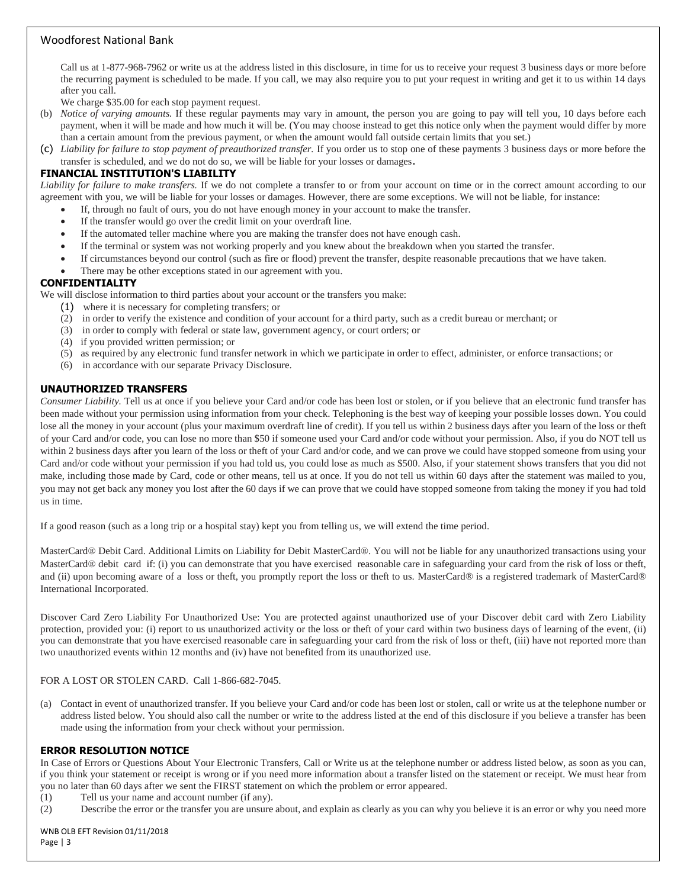Call us at 1-877-968-7962 or write us at the address listed in this disclosure, in time for us to receive your request 3 business days or more before the recurring payment is scheduled to be made. If you call, we may also require you to put your request in writing and get it to us within 14 days after you call.

We charge \$35.00 for each stop payment request.

- (b) *Notice of varying amounts.* If these regular payments may vary in amount, the person you are going to pay will tell you, 10 days before each payment, when it will be made and how much it will be. (You may choose instead to get this notice only when the payment would differ by more than a certain amount from the previous payment, or when the amount would fall outside certain limits that you set.)
- (c) *Liability for failure to stop payment of preauthorized transfer.* If you order us to stop one of these payments 3 business days or more before the transfer is scheduled, and we do not do so, we will be liable for your losses or damages.

#### **FINANCIAL INSTITUTION'S LIABILITY**

*Liability for failure to make transfers.* If we do not complete a transfer to or from your account on time or in the correct amount according to our agreement with you, we will be liable for your losses or damages. However, there are some exceptions. We will not be liable, for instance:

- If, through no fault of ours, you do not have enough money in your account to make the transfer.
- If the transfer would go over the credit limit on your overdraft line.
- If the automated teller machine where you are making the transfer does not have enough cash.
- If the terminal or system was not working properly and you knew about the breakdown when you started the transfer.
- If circumstances beyond our control (such as fire or flood) prevent the transfer, despite reasonable precautions that we have taken.
- There may be other exceptions stated in our agreement with you.

### **CONFIDENTIALITY**

We will disclose information to third parties about your account or the transfers you make:

- (1) where it is necessary for completing transfers; or
- (2) in order to verify the existence and condition of your account for a third party, such as a credit bureau or merchant; or
- (3) in order to comply with federal or state law, government agency, or court orders; or
- (4) if you provided written permission; or
- (5) as required by any electronic fund transfer network in which we participate in order to effect, administer, or enforce transactions; or
- (6) in accordance with our separate Privacy Disclosure.

#### **UNAUTHORIZED TRANSFERS**

*Consumer Liability.* Tell us at once if you believe your Card and/or code has been lost or stolen, or if you believe that an electronic fund transfer has been made without your permission using information from your check. Telephoning is the best way of keeping your possible losses down. You could lose all the money in your account (plus your maximum overdraft line of credit). If you tell us within 2 business days after you learn of the loss or theft of your Card and/or code, you can lose no more than \$50 if someone used your Card and/or code without your permission. Also, if you do NOT tell us within 2 business days after you learn of the loss or theft of your Card and/or code, and we can prove we could have stopped someone from using your Card and/or code without your permission if you had told us, you could lose as much as \$500. Also, if your statement shows transfers that you did not make, including those made by Card, code or other means, tell us at once. If you do not tell us within 60 days after the statement was mailed to you, you may not get back any money you lost after the 60 days if we can prove that we could have stopped someone from taking the money if you had told us in time.

If a good reason (such as a long trip or a hospital stay) kept you from telling us, we will extend the time period.

MasterCard® Debit Card. Additional Limits on Liability for Debit MasterCard®. You will not be liable for any unauthorized transactions using your MasterCard® debit card if: (i) you can demonstrate that you have exercised reasonable care in safeguarding your card from the risk of loss or theft, and (ii) upon becoming aware of a loss or theft, you promptly report the loss or theft to us. MasterCard® is a registered trademark of MasterCard® International Incorporated.

Discover Card Zero Liability For Unauthorized Use: You are protected against unauthorized use of your Discover debit card with Zero Liability protection, provided you: (i) report to us unauthorized activity or the loss or theft of your card within two business days of learning of the event, (ii) you can demonstrate that you have exercised reasonable care in safeguarding your card from the risk of loss or theft, (iii) have not reported more than two unauthorized events within 12 months and (iv) have not benefited from its unauthorized use.

#### FOR A LOST OR STOLEN CARD. Call 1-866-682-7045.

(a) Contact in event of unauthorized transfer. If you believe your Card and/or code has been lost or stolen, call or write us at the telephone number or address listed below. You should also call the number or write to the address listed at the end of this disclosure if you believe a transfer has been made using the information from your check without your permission.

#### **ERROR RESOLUTION NOTICE**

In Case of Errors or Questions About Your Electronic Transfers, Call or Write us at the telephone number or address listed below, as soon as you can, if you think your statement or receipt is wrong or if you need more information about a transfer listed on the statement or receipt. We must hear from you no later than 60 days after we sent the FIRST statement on which the problem or error appeared.

- (1) Tell us your name and account number (if any).
- (2) Describe the error or the transfer you are unsure about, and explain as clearly as you can why you believe it is an error or why you need more

WNB OLB EFT Revision 01/11/2018 Page | 3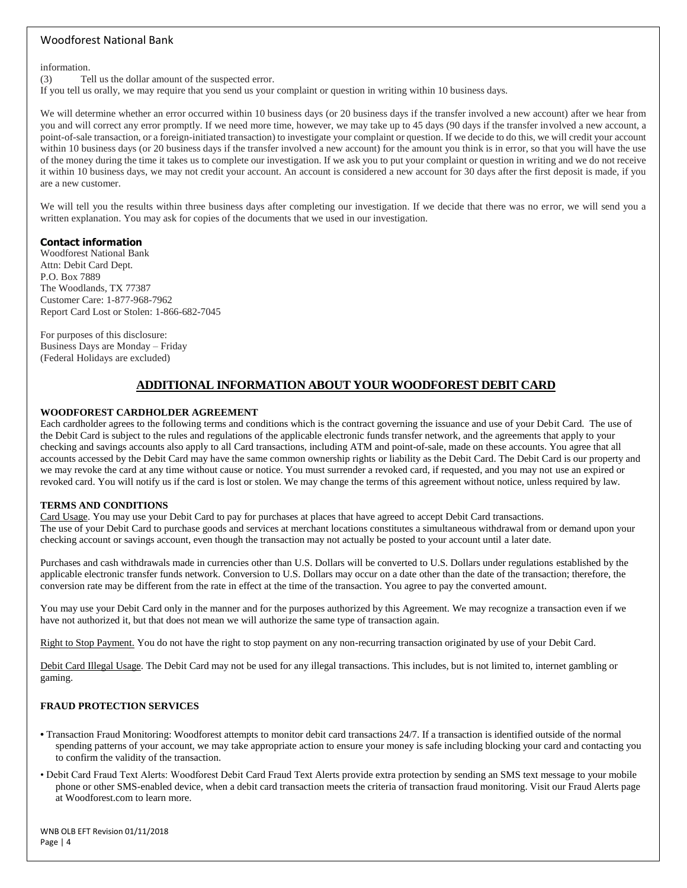information.

(3) Tell us the dollar amount of the suspected error.

If you tell us orally, we may require that you send us your complaint or question in writing within 10 business days.

We will determine whether an error occurred within 10 business days (or 20 business days if the transfer involved a new account) after we hear from you and will correct any error promptly. If we need more time, however, we may take up to 45 days (90 days if the transfer involved a new account, a point-of-sale transaction, or a foreign-initiated transaction) to investigate your complaint or question. If we decide to do this, we will credit your account within 10 business days (or 20 business days if the transfer involved a new account) for the amount you think is in error, so that you will have the use of the money during the time it takes us to complete our investigation. If we ask you to put your complaint or question in writing and we do not receive it within 10 business days, we may not credit your account. An account is considered a new account for 30 days after the first deposit is made, if you are a new customer.

We will tell you the results within three business days after completing our investigation. If we decide that there was no error, we will send you a written explanation. You may ask for copies of the documents that we used in our investigation.

#### **Contact information**

Woodforest National Bank Attn: Debit Card Dept. P.O. Box 7889 The Woodlands, TX 77387 Customer Care: 1-877-968-7962 Report Card Lost or Stolen: 1-866-682-7045

For purposes of this disclosure: Business Days are Monday – Friday (Federal Holidays are excluded)

# **ADDITIONAL INFORMATION ABOUT YOUR WOODFOREST DEBIT CARD**

#### **WOODFOREST CARDHOLDER AGREEMENT**

Each cardholder agrees to the following terms and conditions which is the contract governing the issuance and use of your Debit Card. The use of the Debit Card is subject to the rules and regulations of the applicable electronic funds transfer network, and the agreements that apply to your checking and savings accounts also apply to all Card transactions, including ATM and point-of-sale, made on these accounts. You agree that all accounts accessed by the Debit Card may have the same common ownership rights or liability as the Debit Card. The Debit Card is our property and we may revoke the card at any time without cause or notice. You must surrender a revoked card, if requested, and you may not use an expired or revoked card. You will notify us if the card is lost or stolen. We may change the terms of this agreement without notice, unless required by law.

#### **TERMS AND CONDITIONS**

Card Usage. You may use your Debit Card to pay for purchases at places that have agreed to accept Debit Card transactions. The use of your Debit Card to purchase goods and services at merchant locations constitutes a simultaneous withdrawal from or demand upon your checking account or savings account, even though the transaction may not actually be posted to your account until a later date.

Purchases and cash withdrawals made in currencies other than U.S. Dollars will be converted to U.S. Dollars under regulations established by the applicable electronic transfer funds network. Conversion to U.S. Dollars may occur on a date other than the date of the transaction; therefore, the conversion rate may be different from the rate in effect at the time of the transaction. You agree to pay the converted amount.

You may use your Debit Card only in the manner and for the purposes authorized by this Agreement. We may recognize a transaction even if we have not authorized it, but that does not mean we will authorize the same type of transaction again.

Right to Stop Payment. You do not have the right to stop payment on any non-recurring transaction originated by use of your Debit Card.

Debit Card Illegal Usage. The Debit Card may not be used for any illegal transactions. This includes, but is not limited to, internet gambling or gaming.

#### **FRAUD PROTECTION SERVICES**

- Transaction Fraud Monitoring: Woodforest attempts to monitor debit card transactions 24/7. If a transaction is identified outside of the normal spending patterns of your account, we may take appropriate action to ensure your money is safe including blocking your card and contacting you to confirm the validity of the transaction.
- Debit Card Fraud Text Alerts: Woodforest Debit Card Fraud Text Alerts provide extra protection by sending an SMS text message to your mobile phone or other SMS-enabled device, when a debit card transaction meets the criteria of transaction fraud monitoring. Visit our Fraud Alerts page at Woodforest.com to learn more.

WNB OLB EFT Revision 01/11/2018 Page | 4